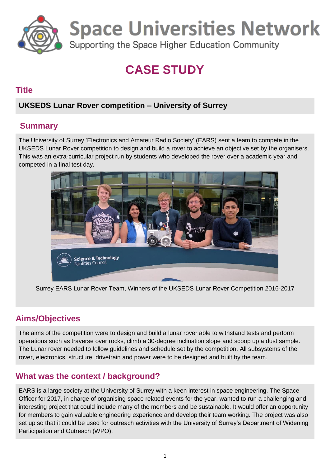

**Space Universities Network** 

Supporting the Space Higher Education Community

# **CASE STUDY**

### **Title**

## **UKSEDS Lunar Rover competition – University of Surrey**

## **Summary**

The University of Surrey 'Electronics and Amateur Radio Society' (EARS) sent a team to compete in the UKSEDS Lunar Rover competition to design and build a rover to achieve an objective set by the organisers. This was an extra-curricular project run by students who developed the rover over a academic year and competed in a final test day.



Surrey EARS Lunar Rover Team, Winners of the UKSEDS Lunar Rover Competition 2016-2017

## **Aims/Objectives**

The aims of the competition were to design and build a lunar rover able to withstand tests and perform operations such as traverse over rocks, climb a 30-degree inclination slope and scoop up a dust sample. The Lunar rover needed to follow guidelines and schedule set by the competition. All subsystems of the rover, electronics, structure, drivetrain and power were to be designed and built by the team.

## **What was the context / background?**

EARS is a large society at the University of Surrey with a keen interest in space engineering. The Space Officer for 2017, in charge of organising space related events for the year, wanted to run a challenging and interesting project that could include many of the members and be sustainable. It would offer an opportunity for members to gain valuable engineering experience and develop their team working. The project was also set up so that it could be used for outreach activities with the University of Surrey's Department of Widening Participation and Outreach (WPO).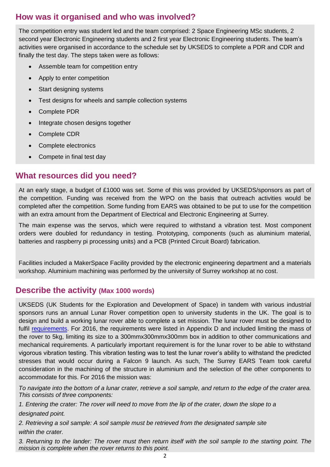## **How was it organised and who was involved?**

The competition entry was student led and the team comprised: 2 Space Engineering MSc students, 2 second year Electronic Engineering students and 2 first year Electronic Engineering students. The team's activities were organised in accordance to the schedule set by UKSEDS to complete a PDR and CDR and finally the test day. The steps taken were as follows:

- Assemble team for competition entry
- Apply to enter competition
- Start designing systems
- Test designs for wheels and sample collection systems
- Complete PDR
- Integrate chosen designs together
- Complete CDR
- Complete electronics
- Compete in final test day

#### **What resources did you need?**

At an early stage, a budget of £1000 was set. Some of this was provided by UKSEDS/sponsors as part of the competition. Funding was received from the WPO on the basis that outreach activities would be completed after the competition. Some funding from EARS was obtained to be put to use for the competition with an extra amount from the Department of Electrical and Electronic Engineering at Surrey.

The main expense was the servos, which were required to withstand a vibration test. Most component orders were doubled for redundancy in testing. Prototyping, components (such as aluminium material, batteries and raspberry pi processing units) and a PCB (Printed Circuit Board) fabrication.

Facilities included a MakerSpace Facility provided by the electronic engineering department and a materials workshop. Aluminium machining was performed by the university of Surrey workshop at no cost.

#### **Describe the activity (Max 1000 words)**

UKSEDS (UK Students for the Exploration and Development of Space) in tandem with various industrial sponsors runs an annual Lunar Rover competition open to university students in the UK. The goal is to design and build a working lunar rover able to complete a set mission. The lunar rover must be designed to fulfil [requirements.](https://drive.google.com/file/d/0Bx0VAj6Ywgv-YVpJSzhSS3QyNTQ/view) For 2016, the requirements were listed in Appendix D and included limiting the mass of the rover to 5kg, limiting its size to a 300mmx300mmx300mm box in addition to other communications and mechanical requirements. A particularly important requirement is for the lunar rover to be able to withstand vigorous vibration testing. This vibration testing was to test the lunar rover's ability to withstand the predicted stresses that would occur during a Falcon 9 launch. As such, The Surrey EARS Team took careful consideration in the machining of the structure in aluminium and the selection of the other components to accommodate for this. For 2016 the mission was:

*To navigate into the bottom of a lunar crater, retrieve a soil sample, and return to the edge of the crater area. This consists of three components:*

*1. Entering the crater: The rover will need to move from the lip of the crater, down the slope to a designated point.*

*2. Retrieving a soil sample: A soil sample must be retrieved from the designated sample site within the crater.*

*3. Returning to the lander: The rover must then return itself with the soil sample to the starting point. The mission is complete when the rover returns to this point.*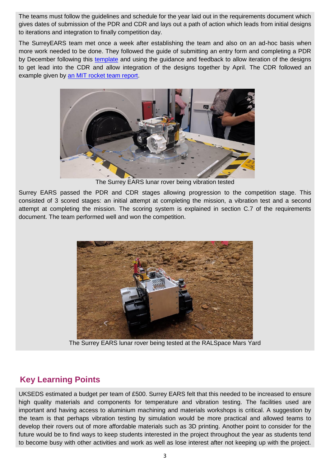The teams must follow the guidelines and schedule for the year laid out in the requirements document which gives dates of submission of the PDR and CDR and lays out a path of action which leads from initial designs to iterations and integration to finally competition day.

The SurreyEARS team met once a week after establishing the team and also on an ad-hoc basis when more work needed to be done. They followed the guide of submitting an entry form and completing a PDR by December following this [template](https://drive.google.com/file/d/0B8deBo4DyV1dc3Q1bEtyd2JLRk0/view) and using the guidance and feedback to allow iteration of the designs to get lead into the CDR and allow integration of the designs together by April. The CDR followed an example given by [an MIT rocket team report.](http://web.mit.edu/rocketteam/www/usli/2011-12/MIT%20RT%20CDR%202012.pdf)



The Surrey EARS lunar rover being vibration tested

Surrey EARS passed the PDR and CDR stages allowing progression to the competition stage. This consisted of 3 scored stages: an initial attempt at completing the mission, a vibration test and a second attempt at completing the mission. The scoring system is explained in section C.7 of the requirements document. The team performed well and won the competition.



The Surrey EARS lunar rover being tested at the RALSpace Mars Yard

## **Key Learning Points**

UKSEDS estimated a budget per team of £500. Surrey EARS felt that this needed to be increased to ensure high quality materials and components for temperature and vibration testing. The facilities used are important and having access to aluminium machining and materials workshops is critical. A suggestion by the team is that perhaps vibration testing by simulation would be more practical and allowed teams to develop their rovers out of more affordable materials such as 3D printing. Another point to consider for the future would be to find ways to keep students interested in the project throughout the year as students tend to become busy with other activities and work as well as lose interest after not keeping up with the project.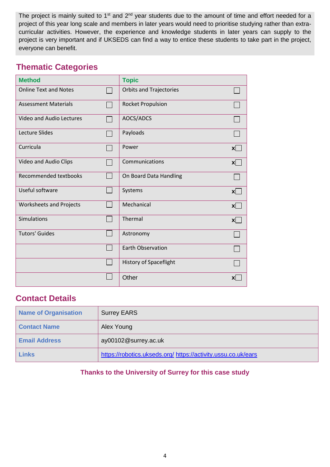The project is mainly suited to 1<sup>st</sup> and 2<sup>nd</sup> year students due to the amount of time and effort needed for a project of this year long scale and members in later years would need to prioritise studying rather than extracurricular activities. However, the experience and knowledge students in later years can supply to the project is very important and if UKSEDS can find a way to entice these students to take part in the project, everyone can benefit.

## **Thematic Categories**

| <b>Method</b>                  | <b>Topic</b>                   |              |
|--------------------------------|--------------------------------|--------------|
| <b>Online Text and Notes</b>   | <b>Orbits and Trajectories</b> |              |
| <b>Assessment Materials</b>    | <b>Rocket Propulsion</b>       |              |
| Video and Audio Lectures       | AOCS/ADCS                      |              |
| <b>Lecture Slides</b>          | Payloads                       |              |
| Curricula                      | Power                          | x            |
| Video and Audio Clips          | Communications                 | $\mathbf{x}$ |
| Recommended textbooks          | On Board Data Handling         |              |
| Useful software                | Systems                        | $\mathbf{x}$ |
| <b>Worksheets and Projects</b> | Mechanical                     | $\mathsf{x}$ |
| Simulations                    | Thermal                        | $\mathbf{x}$ |
| <b>Tutors' Guides</b>          | Astronomy                      |              |
|                                | <b>Earth Observation</b>       |              |
|                                | <b>History of Spaceflight</b>  |              |
|                                | Other                          | XI           |

## **Contact Details**

| Name of Organisation | <b>Surrey EARS</b>                                            |
|----------------------|---------------------------------------------------------------|
| <b>Contact Name</b>  | Alex Young                                                    |
| <b>Email Address</b> | ay00102@surrey.ac.uk                                          |
| Links                | https://robotics.ukseds.org/ https://activity.ussu.co.uk/ears |

#### **Thanks to the University of Surrey for this case study**